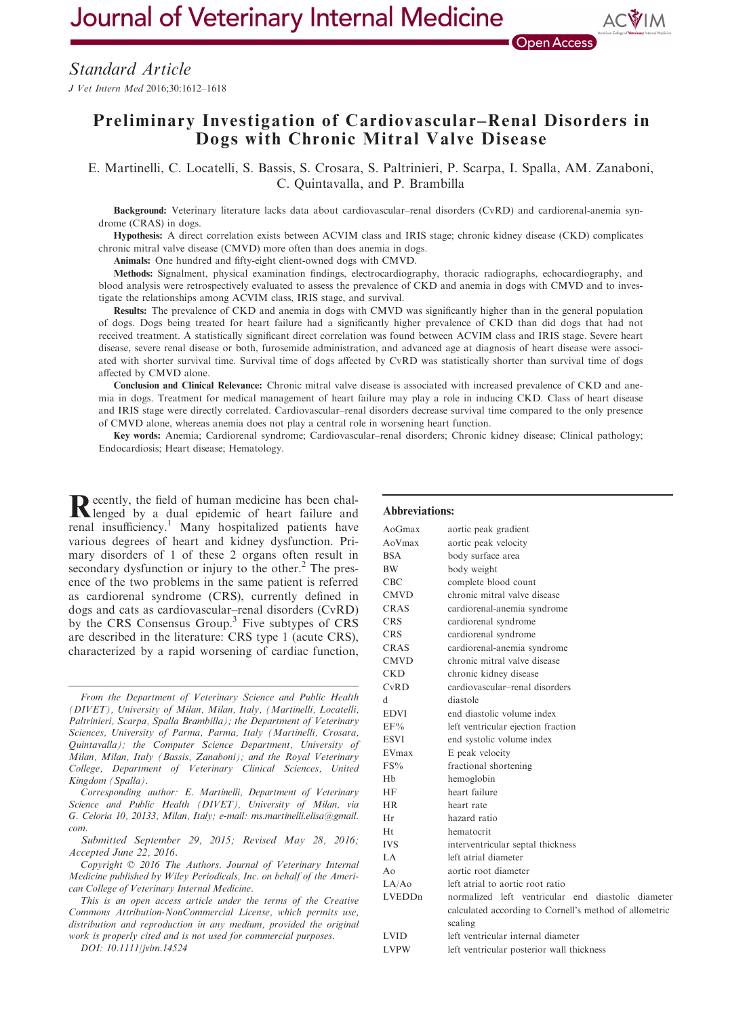Journal of Veterinary Internal Medicine

**Open Access** 

# Preliminary Investigation of Cardiovascular–Renal Disorders in Dogs with Chronic Mitral Valve Disease

E. Martinelli, C. Locatelli, S. Bassis, S. Crosara, S. Paltrinieri, P. Scarpa, I. Spalla, AM. Zanaboni, C. Quintavalla, and P. Brambilla

Background: Veterinary literature lacks data about cardiovascular–renal disorders (CvRD) and cardiorenal-anemia syndrome (CRAS) in dogs.

Hypothesis: A direct correlation exists between ACVIM class and IRIS stage; chronic kidney disease (CKD) complicates chronic mitral valve disease (CMVD) more often than does anemia in dogs.

Animals: One hundred and fifty-eight client-owned dogs with CMVD.

Methods: Signalment, physical examination findings, electrocardiography, thoracic radiographs, echocardiography, and blood analysis were retrospectively evaluated to assess the prevalence of CKD and anemia in dogs with CMVD and to investigate the relationships among ACVIM class, IRIS stage, and survival.

Results: The prevalence of CKD and anemia in dogs with CMVD was significantly higher than in the general population of dogs. Dogs being treated for heart failure had a significantly higher prevalence of CKD than did dogs that had not received treatment. A statistically significant direct correlation was found between ACVIM class and IRIS stage. Severe heart disease, severe renal disease or both, furosemide administration, and advanced age at diagnosis of heart disease were associated with shorter survival time. Survival time of dogs affected by CvRD was statistically shorter than survival time of dogs affected by CMVD alone.

Conclusion and Clinical Relevance: Chronic mitral valve disease is associated with increased prevalence of CKD and anemia in dogs. Treatment for medical management of heart failure may play a role in inducing CKD. Class of heart disease and IRIS stage were directly correlated. Cardiovascular–renal disorders decrease survival time compared to the only presence of CMVD alone, whereas anemia does not play a central role in worsening heart function.

Key words: Anemia; Cardiorenal syndrome; Cardiovascular–renal disorders; Chronic kidney disease; Clinical pathology; Endocardiosis; Heart disease; Hematology.

Recently, the field of human medicine has been chal-<br>lenged by a dual epidemic of heart failure and renal insufficiency.<sup>1</sup> Many hospitalized patients have various degrees of heart and kidney dysfunction. Primary disorders of 1 of these 2 organs often result in secondary dysfunction or injury to the other. $<sup>2</sup>$  The pres-</sup> ence of the two problems in the same patient is referred as cardiorenal syndrome (CRS), currently defined in dogs and cats as cardiovascular–renal disorders (CvRD) by the CRS Consensus Group.<sup>3</sup> Five subtypes of CRS are described in the literature: CRS type 1 (acute CRS), characterized by a rapid worsening of cardiac function,

Copyright © 2016 The Authors. Journal of Veterinary Internal Medicine published by Wiley Periodicals, Inc. on behalf of the American College of Veterinary Internal Medicine.

## Abbreviations:

| AoGmax               | aortic peak gradient                                   |
|----------------------|--------------------------------------------------------|
| AoVmax               | aortic peak velocity                                   |
| <b>BSA</b>           | body surface area                                      |
| <b>BW</b>            | body weight                                            |
| CBC                  | complete blood count                                   |
| <b>CMVD</b>          | chronic mitral valve disease                           |
| CRAS                 | cardiorenal-anemia syndrome                            |
| <b>CRS</b>           | cardiorenal syndrome                                   |
| <b>CRS</b>           | cardiorenal syndrome                                   |
| CRAS                 | cardiorenal-anemia syndrome                            |
| <b>CMVD</b>          | chronic mitral valve disease                           |
| <b>CKD</b>           | chronic kidney disease                                 |
| CvRD                 | cardiovascular-renal disorders                         |
| d                    | diastole                                               |
| <b>EDVI</b>          | end diastolic volume index                             |
| EF%                  | left ventricular ejection fraction                     |
| <b>ESVI</b>          | end systolic volume index                              |
| EVmax                | E peak velocity                                        |
| $FS\%$               | fractional shortening                                  |
| <b>H<sub>b</sub></b> | hemoglobin                                             |
| <b>HF</b>            | heart failure                                          |
| <b>HR</b>            | heart rate                                             |
| Hr                   | hazard ratio                                           |
| Ht                   | hematocrit                                             |
| <b>IVS</b>           | interventricular septal thickness                      |
| LA.                  | left atrial diameter                                   |
| Ao                   | aortic root diameter                                   |
| LA/Ao                | left atrial to aortic root ratio                       |
| LVEDDn               | normalized left ventricular end diastolic diameter     |
|                      | calculated according to Cornell's method of allometric |
|                      | scaling                                                |
| <b>LVID</b>          | left ventricular internal diameter                     |
| <b>LVPW</b>          | left ventricular posterior wall thickness              |
|                      |                                                        |

From the Department of Veterinary Science and Public Health (DIVET), University of Milan, Milan, Italy, (Martinelli, Locatelli, Paltrinieri, Scarpa, Spalla Brambilla); the Department of Veterinary Sciences, University of Parma, Parma, Italy (Martinelli, Crosara, Quintavalla); the Computer Science Department, University of Milan, Milan, Italy (Bassis, Zanaboni); and the Royal Veterinary College, Department of Veterinary Clinical Sciences, United Kingdom (Spalla).

Corresponding author: E. Martinelli, Department of Veterinary Science and Public Health (DIVET), University of Milan, via G. Celoria 10, 20133, Milan, Italy; e-mail: ms.martinelli.elisa@gmail. com.

Submitted September 29, 2015; Revised May 28, 2016; Accepted June 22, 2016.

This is an open access article under the terms of the [Creative](http://creativecommons.org/licenses/by-nc/4.0/) [Commons Attribution-NonCommercial](http://creativecommons.org/licenses/by-nc/4.0/) License, which permits use, distribution and reproduction in any medium, provided the original work is properly cited and is not used for commercial purposes.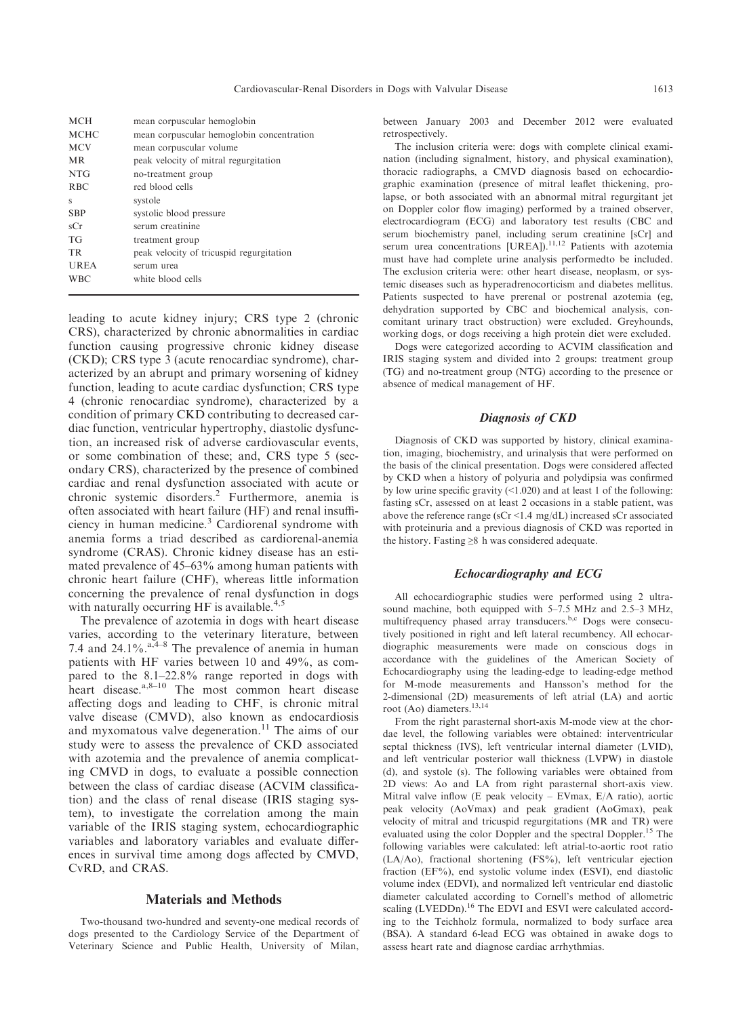| <b>MCH</b>  | mean corpuscular hemoglobin               |
|-------------|-------------------------------------------|
| <b>MCHC</b> | mean corpuscular hemoglobin concentration |
| <b>MCV</b>  | mean corpuscular volume                   |
| MR.         | peak velocity of mitral regurgitation     |
| <b>NTG</b>  | no-treatment group                        |
| <b>RBC</b>  | red blood cells                           |
| S           | systole                                   |
| <b>SBP</b>  | systolic blood pressure                   |
| sCr         | serum creatinine                          |
| TG          | treatment group                           |
| TR.         | peak velocity of tricuspid regurgitation  |
| UREA        | serum urea                                |
| <b>WBC</b>  | white blood cells                         |
|             |                                           |

leading to acute kidney injury; CRS type 2 (chronic CRS), characterized by chronic abnormalities in cardiac function causing progressive chronic kidney disease (CKD); CRS type 3 (acute renocardiac syndrome), characterized by an abrupt and primary worsening of kidney function, leading to acute cardiac dysfunction; CRS type 4 (chronic renocardiac syndrome), characterized by a condition of primary CKD contributing to decreased cardiac function, ventricular hypertrophy, diastolic dysfunction, an increased risk of adverse cardiovascular events, or some combination of these; and, CRS type 5 (secondary CRS), characterized by the presence of combined cardiac and renal dysfunction associated with acute or chronic systemic disorders.2 Furthermore, anemia is often associated with heart failure (HF) and renal insufficiency in human medicine.<sup>3</sup> Cardiorenal syndrome with anemia forms a triad described as cardiorenal-anemia syndrome (CRAS). Chronic kidney disease has an estimated prevalence of 45–63% among human patients with chronic heart failure (CHF), whereas little information concerning the prevalence of renal dysfunction in dogs with naturally occurring HF is available. $4,5$ 

The prevalence of azotemia in dogs with heart disease varies, according to the veterinary literature, between 7.4 and 24.1%. $a_1^2a_2^2$  The prevalence of anemia in human patients with HF varies between 10 and 49%, as compared to the 8.1–22.8% range reported in dogs with heart disease. $a, 8-10$  The most common heart disease affecting dogs and leading to CHF, is chronic mitral valve disease (CMVD), also known as endocardiosis and myxomatous valve degeneration.<sup>11</sup> The aims of our study were to assess the prevalence of CKD associated with azotemia and the prevalence of anemia complicating CMVD in dogs, to evaluate a possible connection between the class of cardiac disease (ACVIM classification) and the class of renal disease (IRIS staging system), to investigate the correlation among the main variable of the IRIS staging system, echocardiographic variables and laboratory variables and evaluate differences in survival time among dogs affected by CMVD, CvRD, and CRAS.

# Materials and Methods

Two-thousand two-hundred and seventy-one medical records of dogs presented to the Cardiology Service of the Department of Veterinary Science and Public Health, University of Milan, between January 2003 and December 2012 were evaluated retrospectively.

The inclusion criteria were: dogs with complete clinical examination (including signalment, history, and physical examination), thoracic radiographs, a CMVD diagnosis based on echocardiographic examination (presence of mitral leaflet thickening, prolapse, or both associated with an abnormal mitral regurgitant jet on Doppler color flow imaging) performed by a trained observer, electrocardiogram (ECG) and laboratory test results (CBC and serum biochemistry panel, including serum creatinine [sCr] and serum urea concentrations [UREA]).<sup>11,12</sup> Patients with azotemia must have had complete urine analysis performedto be included. The exclusion criteria were: other heart disease, neoplasm, or systemic diseases such as hyperadrenocorticism and diabetes mellitus. Patients suspected to have prerenal or postrenal azotemia (eg, dehydration supported by CBC and biochemical analysis, concomitant urinary tract obstruction) were excluded. Greyhounds, working dogs, or dogs receiving a high protein diet were excluded.

Dogs were categorized according to ACVIM classification and IRIS staging system and divided into 2 groups: treatment group (TG) and no-treatment group (NTG) according to the presence or absence of medical management of HF.

## Diagnosis of CKD

Diagnosis of CKD was supported by history, clinical examination, imaging, biochemistry, and urinalysis that were performed on the basis of the clinical presentation. Dogs were considered affected by CKD when a history of polyuria and polydipsia was confirmed by low urine specific gravity (<1.020) and at least 1 of the following: fasting sCr, assessed on at least 2 occasions in a stable patient, was above the reference range (sCr <1.4 mg/dL) increased sCr associated with proteinuria and a previous diagnosis of CKD was reported in the history. Fasting ≥8 h was considered adequate.

#### Echocardiography and ECG

All echocardiographic studies were performed using 2 ultrasound machine, both equipped with 5–7.5 MHz and 2.5–3 MHz, multifrequency phased array transducers.<sup>b,c</sup> Dogs were consecutively positioned in right and left lateral recumbency. All echocardiographic measurements were made on conscious dogs in accordance with the guidelines of the American Society of Echocardiography using the leading-edge to leading-edge method for M-mode measurements and Hansson's method for the 2-dimensional (2D) measurements of left atrial (LA) and aortic root (Ao) diameters.<sup>13,14</sup>

From the right parasternal short-axis M-mode view at the chordae level, the following variables were obtained: interventricular septal thickness (IVS), left ventricular internal diameter (LVID), and left ventricular posterior wall thickness (LVPW) in diastole (d), and systole (s). The following variables were obtained from 2D views: Ao and LA from right parasternal short-axis view. Mitral valve inflow (E peak velocity – EVmax, E/A ratio), aortic peak velocity (AoVmax) and peak gradient (AoGmax), peak velocity of mitral and tricuspid regurgitations (MR and TR) were evaluated using the color Doppler and the spectral Doppler.<sup>15</sup> The following variables were calculated: left atrial-to-aortic root ratio (LA/Ao), fractional shortening (FS%), left ventricular ejection fraction (EF%), end systolic volume index (ESVI), end diastolic volume index (EDVI), and normalized left ventricular end diastolic diameter calculated according to Cornell's method of allometric scaling (LVEDDn).<sup>16</sup> The EDVI and ESVI were calculated according to the Teichholz formula, normalized to body surface area (BSA). A standard 6-lead ECG was obtained in awake dogs to assess heart rate and diagnose cardiac arrhythmias.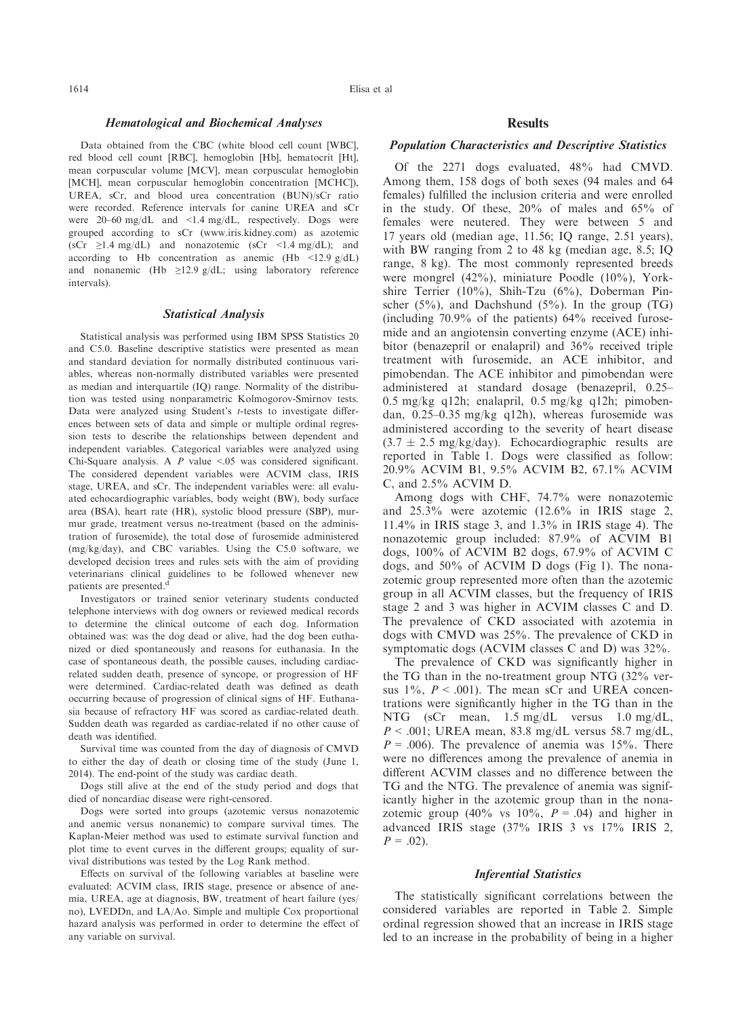# Hematological and Biochemical Analyses

Data obtained from the CBC (white blood cell count [WBC], red blood cell count [RBC], hemoglobin [Hb], hematocrit [Ht], mean corpuscular volume [MCV], mean corpuscular hemoglobin [MCH], mean corpuscular hemoglobin concentration [MCHC]), UREA, sCr, and blood urea concentration (BUN)/sCr ratio were recorded. Reference intervals for canine UREA and sCr were 20–60 mg/dL and <1.4 mg/dL, respectively. Dogs were grouped according to sCr ([www.iris.kidney.com\)](http://www.iris.kidney.com) as azotemic  $(\text{sCr } \geq 1.4 \text{ mg/dL})$  and nonazotemic  $(\text{sCr } \leq 1.4 \text{ mg/dL})$ ; and according to Hb concentration as anemic (Hb  $\langle$ 12.9 g/dL) and nonanemic (Hb  $\geq$ 12.9 g/dL; using laboratory reference intervals).

### Statistical Analysis

Statistical analysis was performed using IBM SPSS Statistics 20 and C5.0. Baseline descriptive statistics were presented as mean and standard deviation for normally distributed continuous variables, whereas non-normally distributed variables were presented as median and interquartile (IQ) range. Normality of the distribution was tested using nonparametric Kolmogorov-Smirnov tests. Data were analyzed using Student's t-tests to investigate differences between sets of data and simple or multiple ordinal regression tests to describe the relationships between dependent and independent variables. Categorical variables were analyzed using Chi-Square analysis. A  $P$  value <.05 was considered significant. The considered dependent variables were ACVIM class, IRIS stage, UREA, and sCr. The independent variables were: all evaluated echocardiographic variables, body weight (BW), body surface area (BSA), heart rate (HR), systolic blood pressure (SBP), murmur grade, treatment versus no-treatment (based on the administration of furosemide), the total dose of furosemide administered (mg/kg/day), and CBC variables. Using the C5.0 software, we developed decision trees and rules sets with the aim of providing veterinarians clinical guidelines to be followed whenever new patients are presented.<sup>d</sup>

Investigators or trained senior veterinary students conducted telephone interviews with dog owners or reviewed medical records to determine the clinical outcome of each dog. Information obtained was: was the dog dead or alive, had the dog been euthanized or died spontaneously and reasons for euthanasia. In the case of spontaneous death, the possible causes, including cardiacrelated sudden death, presence of syncope, or progression of HF were determined. Cardiac-related death was defined as death occurring because of progression of clinical signs of HF. Euthanasia because of refractory HF was scored as cardiac-related death. Sudden death was regarded as cardiac-related if no other cause of death was identified.

Survival time was counted from the day of diagnosis of CMVD to either the day of death or closing time of the study (June 1, 2014). The end-point of the study was cardiac death.

Dogs still alive at the end of the study period and dogs that died of noncardiac disease were right-censored.

Dogs were sorted into groups (azotemic versus nonazotemic and anemic versus nonanemic) to compare survival times. The Kaplan-Meier method was used to estimate survival function and plot time to event curves in the different groups; equality of survival distributions was tested by the Log Rank method.

Effects on survival of the following variables at baseline were evaluated: ACVIM class, IRIS stage, presence or absence of anemia, UREA, age at diagnosis, BW, treatment of heart failure (yes/ no), LVEDDn, and LA/Ao. Simple and multiple Cox proportional hazard analysis was performed in order to determine the effect of any variable on survival.

# Results

## Population Characteristics and Descriptive Statistics

Of the 2271 dogs evaluated, 48% had CMVD. Among them, 158 dogs of both sexes (94 males and 64 females) fulfilled the inclusion criteria and were enrolled in the study. Of these, 20% of males and 65% of females were neutered. They were between 5 and 17 years old (median age, 11.56; IQ range, 2.51 years), with BW ranging from 2 to 48 kg (median age, 8.5; IQ range, 8 kg). The most commonly represented breeds were mongrel (42%), miniature Poodle (10%), Yorkshire Terrier (10%), Shih-Tzu (6%), Doberman Pinscher  $(5\%)$ , and Dachshund  $(5\%)$ . In the group  $(TG)$ (including 70.9% of the patients) 64% received furosemide and an angiotensin converting enzyme (ACE) inhibitor (benazepril or enalapril) and 36% received triple treatment with furosemide, an ACE inhibitor, and pimobendan. The ACE inhibitor and pimobendan were administered at standard dosage (benazepril, 0.25– 0.5 mg/kg q12h; enalapril, 0.5 mg/kg q12h; pimobendan, 0.25–0.35 mg/kg q12h), whereas furosemide was administered according to the severity of heart disease  $(3.7 \pm 2.5 \text{ mg/kg/day})$ . Echocardiographic results are reported in Table 1. Dogs were classified as follow: 20.9% ACVIM B1, 9.5% ACVIM B2, 67.1% ACVIM C, and 2.5% ACVIM D.

Among dogs with CHF, 74.7% were nonazotemic and 25.3% were azotemic (12.6% in IRIS stage 2, 11.4% in IRIS stage 3, and 1.3% in IRIS stage 4). The nonazotemic group included: 87.9% of ACVIM B1 dogs, 100% of ACVIM B2 dogs, 67.9% of ACVIM C dogs, and 50% of ACVIM D dogs (Fig 1). The nonazotemic group represented more often than the azotemic group in all ACVIM classes, but the frequency of IRIS stage 2 and 3 was higher in ACVIM classes C and D. The prevalence of CKD associated with azotemia in dogs with CMVD was 25%. The prevalence of CKD in symptomatic dogs (ACVIM classes C and D) was 32%.

The prevalence of CKD was significantly higher in the TG than in the no-treatment group NTG (32% versus  $1\%$ ,  $P < .001$ ). The mean sCr and UREA concentrations were significantly higher in the TG than in the NTG (sCr mean, 1.5 mg/dL versus 1.0 mg/dL,  $P < .001$ ; UREA mean, 83.8 mg/dL versus 58.7 mg/dL,  $P = .006$ ). The prevalence of anemia was 15%. There were no differences among the prevalence of anemia in different ACVIM classes and no difference between the TG and the NTG. The prevalence of anemia was significantly higher in the azotemic group than in the nonazotemic group (40% vs  $10\%$ ,  $P = .04$ ) and higher in advanced IRIS stage (37% IRIS 3 vs 17% IRIS 2,  $P = .02$ ).

#### Inferential Statistics

The statistically significant correlations between the considered variables are reported in Table 2. Simple ordinal regression showed that an increase in IRIS stage led to an increase in the probability of being in a higher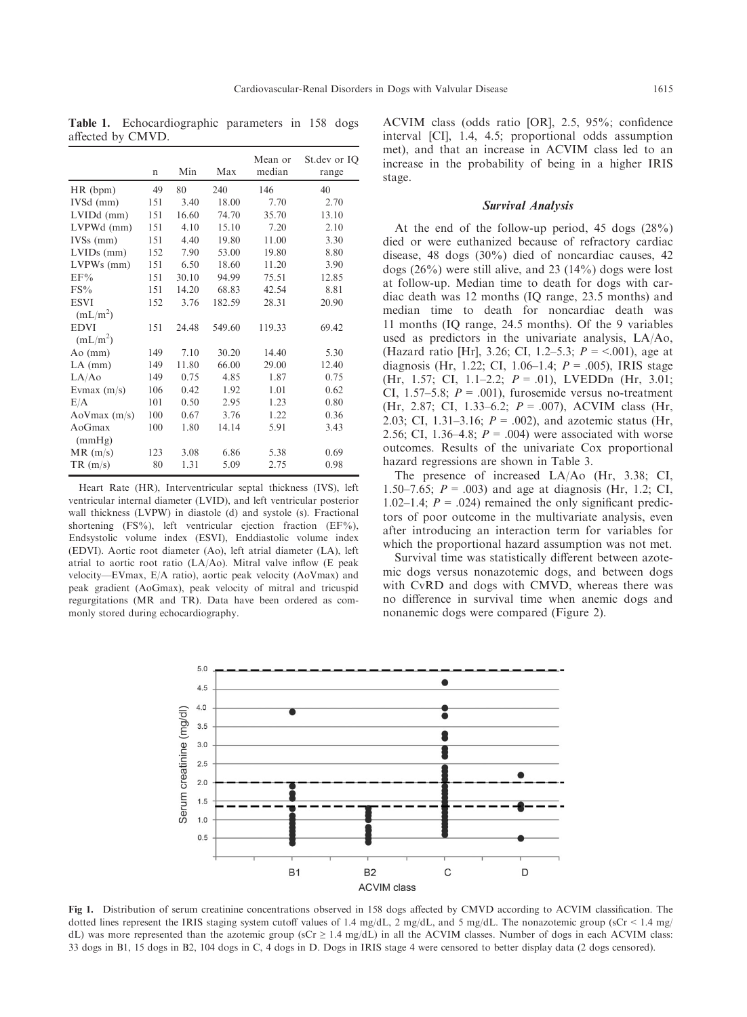Table 1. Echocardiographic parameters in 158 dogs affected by CMVD.

|                                     | $\mathbf n$ | Min   | Max    | Mean or<br>median | St.dev or IQ<br>range |
|-------------------------------------|-------------|-------|--------|-------------------|-----------------------|
| HR (bpm)                            | 49          | 80    | 240    | 146               | 40                    |
| IVSd (mm)                           | 151         | 3.40  | 18.00  | 7.70              | 2.70                  |
| $LVIDd$ (mm)                        | 151         | 16.60 | 74.70  | 35.70             | 13.10                 |
| LVPWd (mm)                          | 151         | 4.10  | 15.10  | 7.20              | 2.10                  |
| $IVSs$ (mm)                         | 151         | 4.40  | 19.80  | 11.00             | 3.30                  |
| $LVIDs$ (mm)                        | 152         | 7.90  | 53.00  | 19.80             | 8.80                  |
| $LVPWs$ (mm)                        | 151         | 6.50  | 18.60  | 11.20             | 3.90                  |
| EF%                                 | 151         | 30.10 | 94.99  | 75.51             | 12.85                 |
| $FS\%$                              | 151         | 14.20 | 68.83  | 42.54             | 8.81                  |
| <b>ESVI</b><br>(mL/m <sup>2</sup> ) | 152         | 3.76  | 182.59 | 28.31             | 20.90                 |
| <b>EDVI</b><br>(mL/m <sup>2</sup> ) | 151         | 24.48 | 549.60 | 119.33            | 69.42                 |
| $Ao$ (mm)                           | 149         | 7.10  | 30.20  | 14.40             | 5.30                  |
| $LA$ (mm)                           | 149         | 11.80 | 66.00  | 29.00             | 12.40                 |
| LA/Ao                               | 149         | 0.75  | 4.85   | 1.87              | 0.75                  |
| Evmax $(m/s)$                       | 106         | 0.42  | 1.92   | 1.01              | 0.62                  |
| E/A                                 | 101         | 0.50  | 2.95   | 1.23              | 0.80                  |
| $A\text{oV}$ max (m/s)              | 100         | 0.67  | 3.76   | 1.22              | 0.36                  |
| AoGmax<br>(mmHg)                    | 100         | 1.80  | 14.14  | 5.91              | 3.43                  |
| MR(m/s)                             | 123         | 3.08  | 6.86   | 5.38              | 0.69                  |
| TR(m/s)                             | 80          | 1.31  | 5.09   | 2.75              | 0.98                  |

Heart Rate (HR), Interventricular septal thickness (IVS), left ventricular internal diameter (LVID), and left ventricular posterior wall thickness (LVPW) in diastole (d) and systole (s). Fractional shortening (FS%), left ventricular ejection fraction (EF%), Endsystolic volume index (ESVI), Enddiastolic volume index (EDVI). Aortic root diameter (Ao), left atrial diameter (LA), left atrial to aortic root ratio (LA/Ao). Mitral valve inflow (E peak velocity—EVmax, E/A ratio), aortic peak velocity (AoVmax) and peak gradient (AoGmax), peak velocity of mitral and tricuspid regurgitations (MR and TR). Data have been ordered as commonly stored during echocardiography.

ACVIM class (odds ratio [OR], 2.5, 95%; confidence interval [CI], 1.4, 4.5; proportional odds assumption met), and that an increase in ACVIM class led to an increase in the probability of being in a higher IRIS stage.

#### Survival Analysis

At the end of the follow-up period, 45 dogs (28%) died or were euthanized because of refractory cardiac disease, 48 dogs (30%) died of noncardiac causes, 42 dogs (26%) were still alive, and 23 (14%) dogs were lost at follow-up. Median time to death for dogs with cardiac death was 12 months (IQ range, 23.5 months) and median time to death for noncardiac death was 11 months (IQ range, 24.5 months). Of the 9 variables used as predictors in the univariate analysis, LA/Ao, (Hazard ratio [Hr], 3.26; CI, 1.2–5.3;  $P = \le 0.001$ ), age at diagnosis (Hr, 1.22; CI, 1.06–1.4;  $P = .005$ ), IRIS stage (Hr, 1.57; CI, 1.1–2.2;  $P = .01$ ), LVEDDn (Hr, 3.01; CI, 1.57–5.8;  $P = .001$ ), furosemide versus no-treatment (Hr, 2.87; CI, 1.33–6.2; P = .007), ACVIM class (Hr, 2.03; CI, 1.31–3.16;  $P = .002$ ), and azotemic status (Hr, 2.56; CI, 1.36–4.8;  $P = .004$ ) were associated with worse outcomes. Results of the univariate Cox proportional hazard regressions are shown in Table 3.

The presence of increased LA/Ao (Hr, 3.38; CI, 1.50–7.65;  $P = .003$ ) and age at diagnosis (Hr, 1.2; CI, 1.02–1.4;  $P = .024$ ) remained the only significant predictors of poor outcome in the multivariate analysis, even after introducing an interaction term for variables for which the proportional hazard assumption was not met.

Survival time was statistically different between azotemic dogs versus nonazotemic dogs, and between dogs with CvRD and dogs with CMVD, whereas there was no difference in survival time when anemic dogs and nonanemic dogs were compared (Figure 2).



Fig 1. Distribution of serum creatinine concentrations observed in 158 dogs affected by CMVD according to ACVIM classification. The dotted lines represent the IRIS staging system cutoff values of 1.4 mg/dL, 2 mg/dL, and 5 mg/dL. The nonazotemic group (sCr < 1.4 mg/ dL) was more represented than the azotemic group ( $sCr \geq 1.4$  mg/dL) in all the ACVIM classes. Number of dogs in each ACVIM class: 33 dogs in B1, 15 dogs in B2, 104 dogs in C, 4 dogs in D. Dogs in IRIS stage 4 were censored to better display data (2 dogs censored).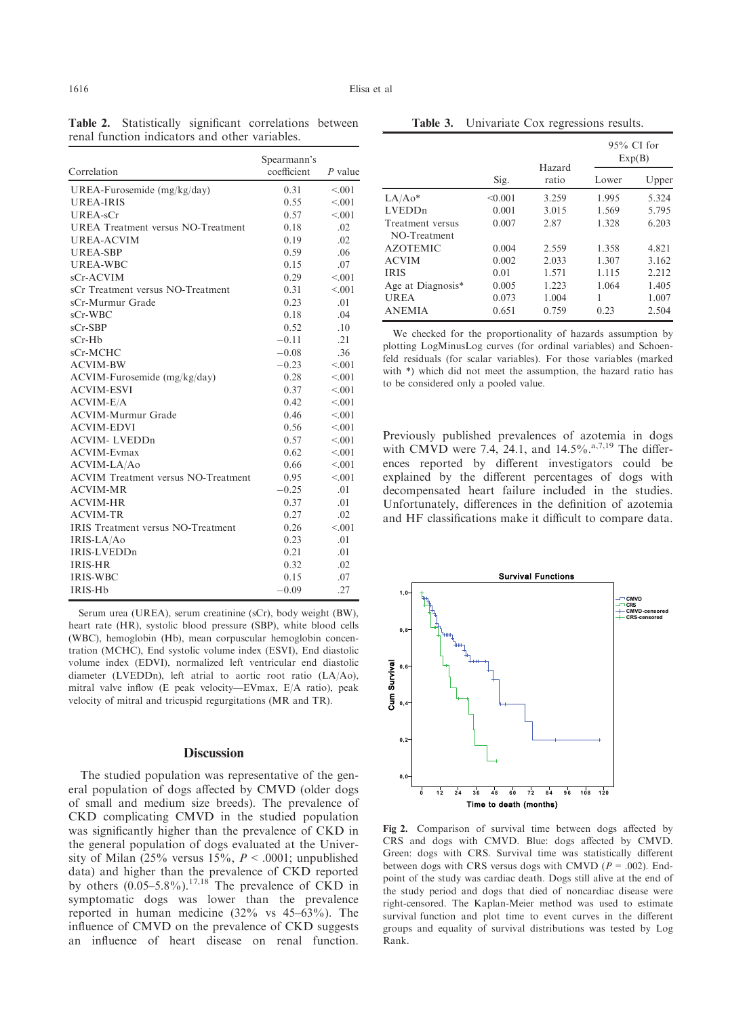| Correlation                                | Spearmann's<br>coefficient | $P$ value |
|--------------------------------------------|----------------------------|-----------|
| UREA-Furosemide (mg/kg/day)                | 0.31                       | < 0.01    |
| <b>UREA-IRIS</b>                           | 0.55                       | < 0.01    |
| <b>UREA-sCr</b>                            | 0.57                       | < 0.01    |
| <b>UREA</b> Treatment versus NO-Treatment  | 0.18                       | .02       |
| <b>UREA-ACVIM</b>                          | 0.19                       | .02       |
| <b>UREA-SBP</b>                            | 0.59                       | .06       |
| UREA-WBC                                   | 0.15                       | .07       |
| sCr-ACVIM                                  | 0.29                       | < 0.01    |
| sCr Treatment versus NO-Treatment          | 0.31                       | < 0.01    |
| sCr-Murmur Grade                           | 0.23                       | .01       |
| $sCr-WBC$                                  | 0.18                       | .04       |
| $sCr-SBP$                                  | 0.52                       | .10       |
| $sCr-Hb$                                   | $-0.11$                    | .21       |
| sCr-MCHC                                   | $-0.08$                    | .36       |
| <b>ACVIM-BW</b>                            | $-0.23$                    | < 0.01    |
| ACVIM-Furosemide (mg/kg/day)               | 0.28                       | < 0.01    |
| <b>ACVIM-ESVI</b>                          | 0.37                       | < 0.01    |
| ACVIM-E/A                                  | 0.42                       | < 0.01    |
| <b>ACVIM-Murmur Grade</b>                  | 0.46                       | < 0.01    |
| <b>ACVIM-EDVI</b>                          | 0.56                       | < 0.01    |
| <b>ACVIM-LVEDDn</b>                        | 0.57                       | < 0.01    |
| <b>ACVIM-Evmax</b>                         | 0.62                       | < 0.01    |
| ACVIM-LA/Ao                                | 0.66                       | < 0.01    |
| <b>ACVIM Treatment versus NO-Treatment</b> | 0.95                       | < 0.01    |
| <b>ACVIM-MR</b>                            | $-0.25$                    | .01       |
| <b>ACVIM-HR</b>                            | 0.37                       | .01       |
| <b>ACVIM-TR</b>                            | 0.27                       | .02       |
| <b>IRIS</b> Treatment versus NO-Treatment  | 0.26                       | < 0.01    |
| IRIS-LA/Ao                                 | 0.23                       | .01       |
| IRIS-LVEDDn                                | 0.21                       | .01       |
| <b>IRIS-HR</b>                             | 0.32                       | .02       |
| <b>IRIS-WBC</b>                            | 0.15                       | .07       |
| IRIS-Hb                                    | $-0.09$                    | .27       |

Table 2. Statistically significant correlations between renal function indicators and other variables.

Serum urea (UREA), serum creatinine (sCr), body weight (BW), heart rate (HR), systolic blood pressure (SBP), white blood cells (WBC), hemoglobin (Hb), mean corpuscular hemoglobin concentration (MCHC), End systolic volume index (ESVI), End diastolic volume index (EDVI), normalized left ventricular end diastolic diameter (LVEDDn), left atrial to aortic root ratio (LA/Ao), mitral valve inflow (E peak velocity—EVmax, E/A ratio), peak velocity of mitral and tricuspid regurgitations (MR and TR).

## **Discussion**

The studied population was representative of the general population of dogs affected by CMVD (older dogs of small and medium size breeds). The prevalence of CKD complicating CMVD in the studied population was significantly higher than the prevalence of CKD in the general population of dogs evaluated at the University of Milan  $(25\%$  versus  $15\%$ ,  $P < .0001$ ; unpublished data) and higher than the prevalence of CKD reported by others  $(0.05-5.8\%)$ .<sup>17,18</sup> The prevalence of CKD in symptomatic dogs was lower than the prevalence reported in human medicine (32% vs 45–63%). The influence of CMVD on the prevalence of CKD suggests an influence of heart disease on renal function.

Table 3. Univariate Cox regressions results.

|                                  |         | Hazard |       | $95\%$ CI for<br>Exp(B) |  |
|----------------------------------|---------|--------|-------|-------------------------|--|
|                                  | Sig.    | ratio  | Lower | Upper                   |  |
| $LA/Ao*$                         | < 0.001 | 3.259  | 1.995 | 5.324                   |  |
| <b>LVEDDn</b>                    | 0.001   | 3.015  | 1.569 | 5.795                   |  |
| Treatment versus<br>NO-Treatment | 0.007   | 2.87   | 1.328 | 6.203                   |  |
| <b>AZOTEMIC</b>                  | 0.004   | 2.559  | 1.358 | 4.821                   |  |
| <b>ACVIM</b>                     | 0.002   | 2.033  | 1.307 | 3.162                   |  |
| <b>IRIS</b>                      | 0.01    | 1.571  | 1.115 | 2.212                   |  |
| Age at Diagnosis*                | 0.005   | 1.223  | 1.064 | 1.405                   |  |
| <b>UREA</b>                      | 0.073   | 1.004  | 1     | 1.007                   |  |
| <b>ANEMIA</b>                    | 0.651   | 0.759  | 0.23  | 2.504                   |  |

We checked for the proportionality of hazards assumption by plotting LogMinusLog curves (for ordinal variables) and Schoenfeld residuals (for scalar variables). For those variables (marked with \*) which did not meet the assumption, the hazard ratio has to be considered only a pooled value.

Previously published prevalences of azotemia in dogs with CMVD were 7.4, 24.1, and  $14.5\%$ .<sup>a,7,19</sup> The differences reported by different investigators could be explained by the different percentages of dogs with decompensated heart failure included in the studies. Unfortunately, differences in the definition of azotemia and HF classifications make it difficult to compare data.



Fig 2. Comparison of survival time between dogs affected by CRS and dogs with CMVD. Blue: dogs affected by CMVD. Green: dogs with CRS. Survival time was statistically different between dogs with CRS versus dogs with CMVD ( $P = .002$ ). Endpoint of the study was cardiac death. Dogs still alive at the end of the study period and dogs that died of noncardiac disease were right-censored. The Kaplan-Meier method was used to estimate survival function and plot time to event curves in the different groups and equality of survival distributions was tested by Log Rank.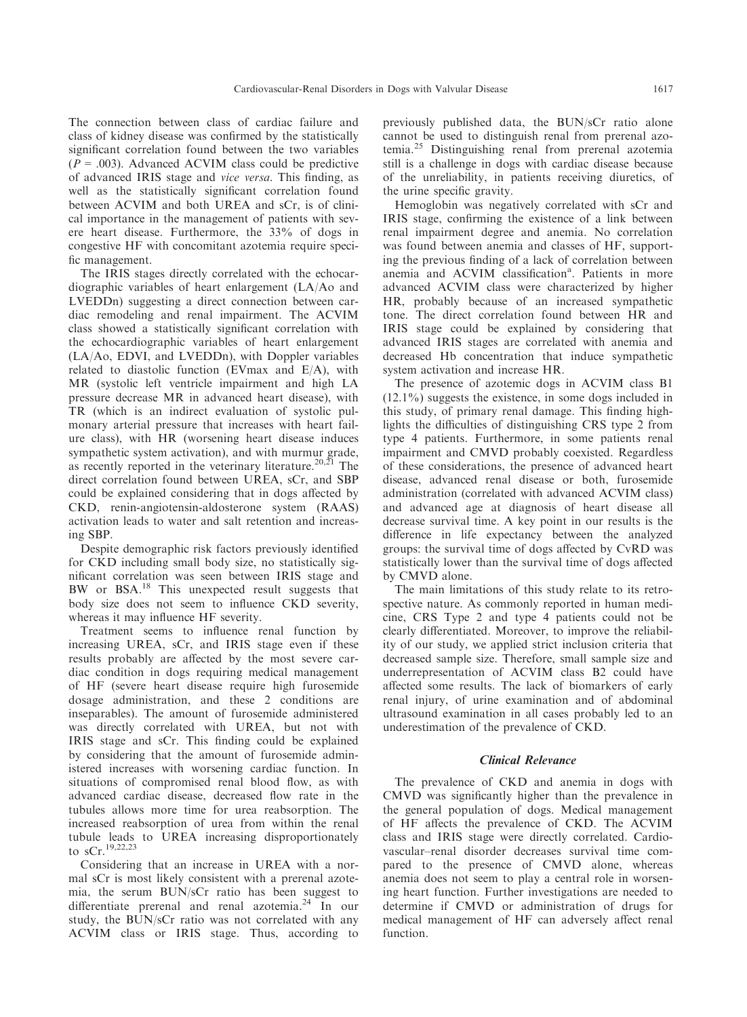The connection between class of cardiac failure and class of kidney disease was confirmed by the statistically significant correlation found between the two variables  $(P = .003)$ . Advanced ACVIM class could be predictive of advanced IRIS stage and vice versa. This finding, as well as the statistically significant correlation found between ACVIM and both UREA and sCr, is of clinical importance in the management of patients with severe heart disease. Furthermore, the 33% of dogs in congestive HF with concomitant azotemia require specific management.

The IRIS stages directly correlated with the echocardiographic variables of heart enlargement (LA/Ao and LVEDDn) suggesting a direct connection between cardiac remodeling and renal impairment. The ACVIM class showed a statistically significant correlation with the echocardiographic variables of heart enlargement (LA/Ao, EDVI, and LVEDDn), with Doppler variables related to diastolic function (EVmax and  $E/A$ ), with MR (systolic left ventricle impairment and high LA pressure decrease MR in advanced heart disease), with TR (which is an indirect evaluation of systolic pulmonary arterial pressure that increases with heart failure class), with HR (worsening heart disease induces sympathetic system activation), and with murmur grade, as recently reported in the veterinary literature.<sup>20,21</sup> The direct correlation found between UREA, sCr, and SBP could be explained considering that in dogs affected by CKD, renin-angiotensin-aldosterone system (RAAS) activation leads to water and salt retention and increasing SBP.

Despite demographic risk factors previously identified for CKD including small body size, no statistically significant correlation was seen between IRIS stage and BW or BSA.<sup>18</sup> This unexpected result suggests that body size does not seem to influence CKD severity, whereas it may influence HF severity.

Treatment seems to influence renal function by increasing UREA, sCr, and IRIS stage even if these results probably are affected by the most severe cardiac condition in dogs requiring medical management of HF (severe heart disease require high furosemide dosage administration, and these 2 conditions are inseparables). The amount of furosemide administered was directly correlated with UREA, but not with IRIS stage and sCr. This finding could be explained by considering that the amount of furosemide administered increases with worsening cardiac function. In situations of compromised renal blood flow, as with advanced cardiac disease, decreased flow rate in the tubules allows more time for urea reabsorption. The increased reabsorption of urea from within the renal tubule leads to UREA increasing disproportionately to  $sCr.$ <sup>19,22,23</sup>

Considering that an increase in UREA with a normal sCr is most likely consistent with a prerenal azotemia, the serum BUN/sCr ratio has been suggest to differentiate prerenal and renal azotemia. $^{24}$  In our study, the BUN/sCr ratio was not correlated with any ACVIM class or IRIS stage. Thus, according to previously published data, the BUN/sCr ratio alone cannot be used to distinguish renal from prerenal azotemia.<sup>25</sup> Distinguishing renal from prerenal azotemia still is a challenge in dogs with cardiac disease because of the unreliability, in patients receiving diuretics, of the urine specific gravity.

Hemoglobin was negatively correlated with sCr and IRIS stage, confirming the existence of a link between renal impairment degree and anemia. No correlation was found between anemia and classes of HF, supporting the previous finding of a lack of correlation between anemia and ACVIM classification<sup>a</sup>. Patients in more advanced ACVIM class were characterized by higher HR, probably because of an increased sympathetic tone. The direct correlation found between HR and IRIS stage could be explained by considering that advanced IRIS stages are correlated with anemia and decreased Hb concentration that induce sympathetic system activation and increase HR.

The presence of azotemic dogs in ACVIM class B1 (12.1%) suggests the existence, in some dogs included in this study, of primary renal damage. This finding highlights the difficulties of distinguishing CRS type 2 from type 4 patients. Furthermore, in some patients renal impairment and CMVD probably coexisted. Regardless of these considerations, the presence of advanced heart disease, advanced renal disease or both, furosemide administration (correlated with advanced ACVIM class) and advanced age at diagnosis of heart disease all decrease survival time. A key point in our results is the difference in life expectancy between the analyzed groups: the survival time of dogs affected by CvRD was statistically lower than the survival time of dogs affected by CMVD alone.

The main limitations of this study relate to its retrospective nature. As commonly reported in human medicine, CRS Type 2 and type 4 patients could not be clearly differentiated. Moreover, to improve the reliability of our study, we applied strict inclusion criteria that decreased sample size. Therefore, small sample size and underrepresentation of ACVIM class B2 could have affected some results. The lack of biomarkers of early renal injury, of urine examination and of abdominal ultrasound examination in all cases probably led to an underestimation of the prevalence of CKD.

## Clinical Relevance

The prevalence of CKD and anemia in dogs with CMVD was significantly higher than the prevalence in the general population of dogs. Medical management of HF affects the prevalence of CKD. The ACVIM class and IRIS stage were directly correlated. Cardiovascular–renal disorder decreases survival time compared to the presence of CMVD alone, whereas anemia does not seem to play a central role in worsening heart function. Further investigations are needed to determine if CMVD or administration of drugs for medical management of HF can adversely affect renal function.